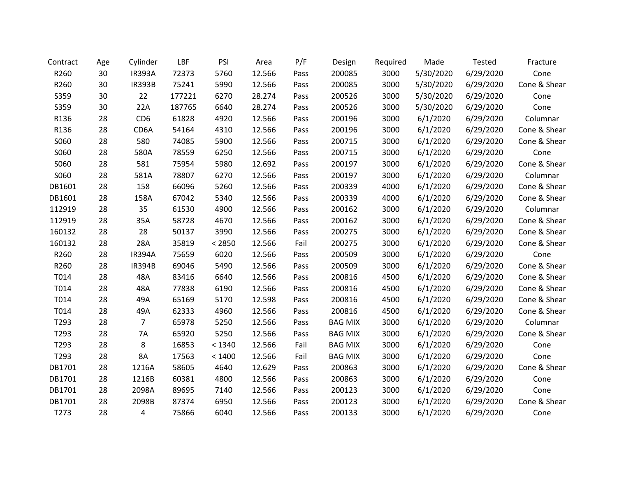| Contract | Age | Cylinder        | LBF    | PSI    | Area   | P/F  | Design         | Required | Made      | Tested    | Fracture     |
|----------|-----|-----------------|--------|--------|--------|------|----------------|----------|-----------|-----------|--------------|
| R260     | 30  | <b>IR393A</b>   | 72373  | 5760   | 12.566 | Pass | 200085         | 3000     | 5/30/2020 | 6/29/2020 | Cone         |
| R260     | 30  | <b>IR393B</b>   | 75241  | 5990   | 12.566 | Pass | 200085         | 3000     | 5/30/2020 | 6/29/2020 | Cone & Shear |
| S359     | 30  | 22              | 177221 | 6270   | 28.274 | Pass | 200526         | 3000     | 5/30/2020 | 6/29/2020 | Cone         |
| S359     | 30  | 22A             | 187765 | 6640   | 28.274 | Pass | 200526         | 3000     | 5/30/2020 | 6/29/2020 | Cone         |
| R136     | 28  | CD <sub>6</sub> | 61828  | 4920   | 12.566 | Pass | 200196         | 3000     | 6/1/2020  | 6/29/2020 | Columnar     |
| R136     | 28  | CD6A            | 54164  | 4310   | 12.566 | Pass | 200196         | 3000     | 6/1/2020  | 6/29/2020 | Cone & Shear |
| S060     | 28  | 580             | 74085  | 5900   | 12.566 | Pass | 200715         | 3000     | 6/1/2020  | 6/29/2020 | Cone & Shear |
| S060     | 28  | 580A            | 78559  | 6250   | 12.566 | Pass | 200715         | 3000     | 6/1/2020  | 6/29/2020 | Cone         |
| S060     | 28  | 581             | 75954  | 5980   | 12.692 | Pass | 200197         | 3000     | 6/1/2020  | 6/29/2020 | Cone & Shear |
| S060     | 28  | 581A            | 78807  | 6270   | 12.566 | Pass | 200197         | 3000     | 6/1/2020  | 6/29/2020 | Columnar     |
| DB1601   | 28  | 158             | 66096  | 5260   | 12.566 | Pass | 200339         | 4000     | 6/1/2020  | 6/29/2020 | Cone & Shear |
| DB1601   | 28  | 158A            | 67042  | 5340   | 12.566 | Pass | 200339         | 4000     | 6/1/2020  | 6/29/2020 | Cone & Shear |
| 112919   | 28  | 35              | 61530  | 4900   | 12.566 | Pass | 200162         | 3000     | 6/1/2020  | 6/29/2020 | Columnar     |
| 112919   | 28  | 35A             | 58728  | 4670   | 12.566 | Pass | 200162         | 3000     | 6/1/2020  | 6/29/2020 | Cone & Shear |
| 160132   | 28  | 28              | 50137  | 3990   | 12.566 | Pass | 200275         | 3000     | 6/1/2020  | 6/29/2020 | Cone & Shear |
| 160132   | 28  | 28A             | 35819  | < 2850 | 12.566 | Fail | 200275         | 3000     | 6/1/2020  | 6/29/2020 | Cone & Shear |
| R260     | 28  | <b>IR394A</b>   | 75659  | 6020   | 12.566 | Pass | 200509         | 3000     | 6/1/2020  | 6/29/2020 | Cone         |
| R260     | 28  | <b>IR394B</b>   | 69046  | 5490   | 12.566 | Pass | 200509         | 3000     | 6/1/2020  | 6/29/2020 | Cone & Shear |
| T014     | 28  | 48A             | 83416  | 6640   | 12.566 | Pass | 200816         | 4500     | 6/1/2020  | 6/29/2020 | Cone & Shear |
| T014     | 28  | 48A             | 77838  | 6190   | 12.566 | Pass | 200816         | 4500     | 6/1/2020  | 6/29/2020 | Cone & Shear |
| T014     | 28  | 49A             | 65169  | 5170   | 12.598 | Pass | 200816         | 4500     | 6/1/2020  | 6/29/2020 | Cone & Shear |
| T014     | 28  | 49A             | 62333  | 4960   | 12.566 | Pass | 200816         | 4500     | 6/1/2020  | 6/29/2020 | Cone & Shear |
| T293     | 28  | $\overline{7}$  | 65978  | 5250   | 12.566 | Pass | <b>BAG MIX</b> | 3000     | 6/1/2020  | 6/29/2020 | Columnar     |
| T293     | 28  | 7A              | 65920  | 5250   | 12.566 | Pass | <b>BAG MIX</b> | 3000     | 6/1/2020  | 6/29/2020 | Cone & Shear |
| T293     | 28  | 8               | 16853  | < 1340 | 12.566 | Fail | <b>BAG MIX</b> | 3000     | 6/1/2020  | 6/29/2020 | Cone         |
| T293     | 28  | 8A              | 17563  | < 1400 | 12.566 | Fail | <b>BAG MIX</b> | 3000     | 6/1/2020  | 6/29/2020 | Cone         |
| DB1701   | 28  | 1216A           | 58605  | 4640   | 12.629 | Pass | 200863         | 3000     | 6/1/2020  | 6/29/2020 | Cone & Shear |
| DB1701   | 28  | 1216B           | 60381  | 4800   | 12.566 | Pass | 200863         | 3000     | 6/1/2020  | 6/29/2020 | Cone         |
| DB1701   | 28  | 2098A           | 89695  | 7140   | 12.566 | Pass | 200123         | 3000     | 6/1/2020  | 6/29/2020 | Cone         |
| DB1701   | 28  | 2098B           | 87374  | 6950   | 12.566 | Pass | 200123         | 3000     | 6/1/2020  | 6/29/2020 | Cone & Shear |
| T273     | 28  | 4               | 75866  | 6040   | 12.566 | Pass | 200133         | 3000     | 6/1/2020  | 6/29/2020 | Cone         |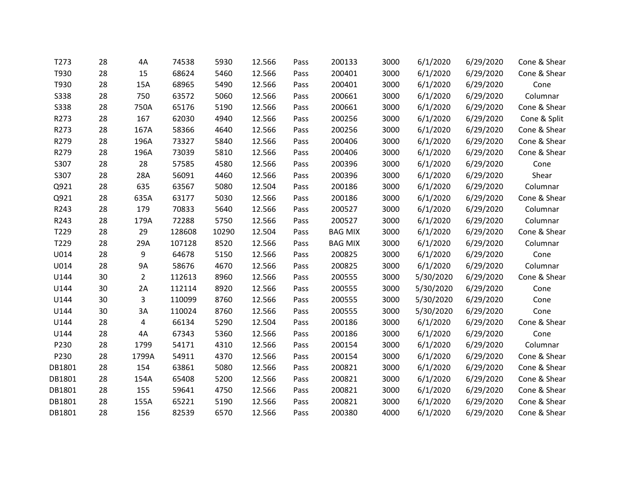| T273        | 28 | 4A             | 74538  | 5930  | 12.566 | Pass | 200133         | 3000 | 6/1/2020  | 6/29/2020 | Cone & Shear |
|-------------|----|----------------|--------|-------|--------|------|----------------|------|-----------|-----------|--------------|
| T930        | 28 | 15             | 68624  | 5460  | 12.566 | Pass | 200401         | 3000 | 6/1/2020  | 6/29/2020 | Cone & Shear |
| T930        | 28 | 15A            | 68965  | 5490  | 12.566 | Pass | 200401         | 3000 | 6/1/2020  | 6/29/2020 | Cone         |
| <b>S338</b> | 28 | 750            | 63572  | 5060  | 12.566 | Pass | 200661         | 3000 | 6/1/2020  | 6/29/2020 | Columnar     |
| <b>S338</b> | 28 | 750A           | 65176  | 5190  | 12.566 | Pass | 200661         | 3000 | 6/1/2020  | 6/29/2020 | Cone & Shear |
| R273        | 28 | 167            | 62030  | 4940  | 12.566 | Pass | 200256         | 3000 | 6/1/2020  | 6/29/2020 | Cone & Split |
| R273        | 28 | 167A           | 58366  | 4640  | 12.566 | Pass | 200256         | 3000 | 6/1/2020  | 6/29/2020 | Cone & Shear |
| R279        | 28 | 196A           | 73327  | 5840  | 12.566 | Pass | 200406         | 3000 | 6/1/2020  | 6/29/2020 | Cone & Shear |
| R279        | 28 | 196A           | 73039  | 5810  | 12.566 | Pass | 200406         | 3000 | 6/1/2020  | 6/29/2020 | Cone & Shear |
| S307        | 28 | 28             | 57585  | 4580  | 12.566 | Pass | 200396         | 3000 | 6/1/2020  | 6/29/2020 | Cone         |
| S307        | 28 | 28A            | 56091  | 4460  | 12.566 | Pass | 200396         | 3000 | 6/1/2020  | 6/29/2020 | Shear        |
| Q921        | 28 | 635            | 63567  | 5080  | 12.504 | Pass | 200186         | 3000 | 6/1/2020  | 6/29/2020 | Columnar     |
| Q921        | 28 | 635A           | 63177  | 5030  | 12.566 | Pass | 200186         | 3000 | 6/1/2020  | 6/29/2020 | Cone & Shear |
| R243        | 28 | 179            | 70833  | 5640  | 12.566 | Pass | 200527         | 3000 | 6/1/2020  | 6/29/2020 | Columnar     |
| R243        | 28 | 179A           | 72288  | 5750  | 12.566 | Pass | 200527         | 3000 | 6/1/2020  | 6/29/2020 | Columnar     |
| T229        | 28 | 29             | 128608 | 10290 | 12.504 | Pass | <b>BAG MIX</b> | 3000 | 6/1/2020  | 6/29/2020 | Cone & Shear |
| T229        | 28 | 29A            | 107128 | 8520  | 12.566 | Pass | <b>BAG MIX</b> | 3000 | 6/1/2020  | 6/29/2020 | Columnar     |
| U014        | 28 | 9              | 64678  | 5150  | 12.566 | Pass | 200825         | 3000 | 6/1/2020  | 6/29/2020 | Cone         |
| U014        | 28 | <b>9A</b>      | 58676  | 4670  | 12.566 | Pass | 200825         | 3000 | 6/1/2020  | 6/29/2020 | Columnar     |
| U144        | 30 | $\overline{2}$ | 112613 | 8960  | 12.566 | Pass | 200555         | 3000 | 5/30/2020 | 6/29/2020 | Cone & Shear |
| U144        | 30 | 2A             | 112114 | 8920  | 12.566 | Pass | 200555         | 3000 | 5/30/2020 | 6/29/2020 | Cone         |
| U144        | 30 | 3              | 110099 | 8760  | 12.566 | Pass | 200555         | 3000 | 5/30/2020 | 6/29/2020 | Cone         |
| U144        | 30 | 3A             | 110024 | 8760  | 12.566 | Pass | 200555         | 3000 | 5/30/2020 | 6/29/2020 | Cone         |
| U144        | 28 | 4              | 66134  | 5290  | 12.504 | Pass | 200186         | 3000 | 6/1/2020  | 6/29/2020 | Cone & Shear |
| U144        | 28 | 4A             | 67343  | 5360  | 12.566 | Pass | 200186         | 3000 | 6/1/2020  | 6/29/2020 | Cone         |
| P230        | 28 | 1799           | 54171  | 4310  | 12.566 | Pass | 200154         | 3000 | 6/1/2020  | 6/29/2020 | Columnar     |
| P230        | 28 | 1799A          | 54911  | 4370  | 12.566 | Pass | 200154         | 3000 | 6/1/2020  | 6/29/2020 | Cone & Shear |
| DB1801      | 28 | 154            | 63861  | 5080  | 12.566 | Pass | 200821         | 3000 | 6/1/2020  | 6/29/2020 | Cone & Shear |
| DB1801      | 28 | 154A           | 65408  | 5200  | 12.566 | Pass | 200821         | 3000 | 6/1/2020  | 6/29/2020 | Cone & Shear |
| DB1801      | 28 | 155            | 59641  | 4750  | 12.566 | Pass | 200821         | 3000 | 6/1/2020  | 6/29/2020 | Cone & Shear |
| DB1801      | 28 | 155A           | 65221  | 5190  | 12.566 | Pass | 200821         | 3000 | 6/1/2020  | 6/29/2020 | Cone & Shear |
| DB1801      | 28 | 156            | 82539  | 6570  | 12.566 | Pass | 200380         | 4000 | 6/1/2020  | 6/29/2020 | Cone & Shear |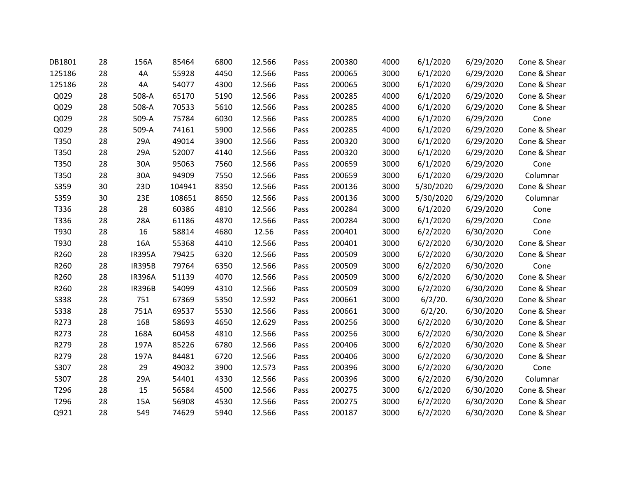| DB1801      | 28 | 156A          | 85464  | 6800 | 12.566 | Pass | 200380 | 4000 | 6/1/2020  | 6/29/2020 | Cone & Shear |
|-------------|----|---------------|--------|------|--------|------|--------|------|-----------|-----------|--------------|
| 125186      | 28 | 4A            | 55928  | 4450 | 12.566 | Pass | 200065 | 3000 | 6/1/2020  | 6/29/2020 | Cone & Shear |
| 125186      | 28 | 4A            | 54077  | 4300 | 12.566 | Pass | 200065 | 3000 | 6/1/2020  | 6/29/2020 | Cone & Shear |
| Q029        | 28 | 508-A         | 65170  | 5190 | 12.566 | Pass | 200285 | 4000 | 6/1/2020  | 6/29/2020 | Cone & Shear |
| Q029        | 28 | 508-A         | 70533  | 5610 | 12.566 | Pass | 200285 | 4000 | 6/1/2020  | 6/29/2020 | Cone & Shear |
| Q029        | 28 | 509-A         | 75784  | 6030 | 12.566 | Pass | 200285 | 4000 | 6/1/2020  | 6/29/2020 | Cone         |
| Q029        | 28 | 509-A         | 74161  | 5900 | 12.566 | Pass | 200285 | 4000 | 6/1/2020  | 6/29/2020 | Cone & Shear |
| T350        | 28 | 29A           | 49014  | 3900 | 12.566 | Pass | 200320 | 3000 | 6/1/2020  | 6/29/2020 | Cone & Shear |
| T350        | 28 | 29A           | 52007  | 4140 | 12.566 | Pass | 200320 | 3000 | 6/1/2020  | 6/29/2020 | Cone & Shear |
| T350        | 28 | 30A           | 95063  | 7560 | 12.566 | Pass | 200659 | 3000 | 6/1/2020  | 6/29/2020 | Cone         |
| T350        | 28 | 30A           | 94909  | 7550 | 12.566 | Pass | 200659 | 3000 | 6/1/2020  | 6/29/2020 | Columnar     |
| S359        | 30 | 23D           | 104941 | 8350 | 12.566 | Pass | 200136 | 3000 | 5/30/2020 | 6/29/2020 | Cone & Shear |
| S359        | 30 | 23E           | 108651 | 8650 | 12.566 | Pass | 200136 | 3000 | 5/30/2020 | 6/29/2020 | Columnar     |
| T336        | 28 | 28            | 60386  | 4810 | 12.566 | Pass | 200284 | 3000 | 6/1/2020  | 6/29/2020 | Cone         |
| T336        | 28 | 28A           | 61186  | 4870 | 12.566 | Pass | 200284 | 3000 | 6/1/2020  | 6/29/2020 | Cone         |
| T930        | 28 | 16            | 58814  | 4680 | 12.56  | Pass | 200401 | 3000 | 6/2/2020  | 6/30/2020 | Cone         |
| T930        | 28 | 16A           | 55368  | 4410 | 12.566 | Pass | 200401 | 3000 | 6/2/2020  | 6/30/2020 | Cone & Shear |
| R260        | 28 | <b>IR395A</b> | 79425  | 6320 | 12.566 | Pass | 200509 | 3000 | 6/2/2020  | 6/30/2020 | Cone & Shear |
| R260        | 28 | <b>IR395B</b> | 79764  | 6350 | 12.566 | Pass | 200509 | 3000 | 6/2/2020  | 6/30/2020 | Cone         |
| R260        | 28 | <b>IR396A</b> | 51139  | 4070 | 12.566 | Pass | 200509 | 3000 | 6/2/2020  | 6/30/2020 | Cone & Shear |
| R260        | 28 | <b>IR396B</b> | 54099  | 4310 | 12.566 | Pass | 200509 | 3000 | 6/2/2020  | 6/30/2020 | Cone & Shear |
| <b>S338</b> | 28 | 751           | 67369  | 5350 | 12.592 | Pass | 200661 | 3000 | 6/2/20.   | 6/30/2020 | Cone & Shear |
| <b>S338</b> | 28 | 751A          | 69537  | 5530 | 12.566 | Pass | 200661 | 3000 | 6/2/20.   | 6/30/2020 | Cone & Shear |
| R273        | 28 | 168           | 58693  | 4650 | 12.629 | Pass | 200256 | 3000 | 6/2/2020  | 6/30/2020 | Cone & Shear |
| R273        | 28 | 168A          | 60458  | 4810 | 12.566 | Pass | 200256 | 3000 | 6/2/2020  | 6/30/2020 | Cone & Shear |
| R279        | 28 | 197A          | 85226  | 6780 | 12.566 | Pass | 200406 | 3000 | 6/2/2020  | 6/30/2020 | Cone & Shear |
| R279        | 28 | 197A          | 84481  | 6720 | 12.566 | Pass | 200406 | 3000 | 6/2/2020  | 6/30/2020 | Cone & Shear |
| S307        | 28 | 29            | 49032  | 3900 | 12.573 | Pass | 200396 | 3000 | 6/2/2020  | 6/30/2020 | Cone         |
| S307        | 28 | 29A           | 54401  | 4330 | 12.566 | Pass | 200396 | 3000 | 6/2/2020  | 6/30/2020 | Columnar     |
| T296        | 28 | 15            | 56584  | 4500 | 12.566 | Pass | 200275 | 3000 | 6/2/2020  | 6/30/2020 | Cone & Shear |
| T296        | 28 | 15A           | 56908  | 4530 | 12.566 | Pass | 200275 | 3000 | 6/2/2020  | 6/30/2020 | Cone & Shear |
| Q921        | 28 | 549           | 74629  | 5940 | 12.566 | Pass | 200187 | 3000 | 6/2/2020  | 6/30/2020 | Cone & Shear |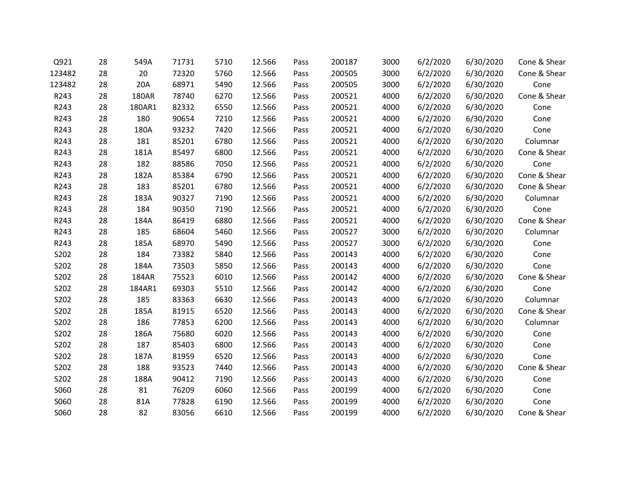| Q921   | 28 | 549A         | 71731 | 5710 | 12.566 | Pass | 200187 | 3000 | 6/2/2020 | 6/30/2020 | Cone & Shear |
|--------|----|--------------|-------|------|--------|------|--------|------|----------|-----------|--------------|
| 123482 | 28 | 20           | 72320 | 5760 | 12.566 | Pass | 200505 | 3000 | 6/2/2020 | 6/30/2020 | Cone & Shear |
| 123482 | 28 | 20A          | 68971 | 5490 | 12.566 | Pass | 200505 | 3000 | 6/2/2020 | 6/30/2020 | Cone         |
| R243   | 28 | <b>180AR</b> | 78740 | 6270 | 12.566 | Pass | 200521 | 4000 | 6/2/2020 | 6/30/2020 | Cone & Shear |
| R243   | 28 | 180AR1       | 82332 | 6550 | 12.566 | Pass | 200521 | 4000 | 6/2/2020 | 6/30/2020 | Cone         |
| R243   | 28 | 180          | 90654 | 7210 | 12.566 | Pass | 200521 | 4000 | 6/2/2020 | 6/30/2020 | Cone         |
| R243   | 28 | 180A         | 93232 | 7420 | 12.566 | Pass | 200521 | 4000 | 6/2/2020 | 6/30/2020 | Cone         |
| R243   | 28 | 181          | 85201 | 6780 | 12.566 | Pass | 200521 | 4000 | 6/2/2020 | 6/30/2020 | Columnar     |
| R243   | 28 | 181A         | 85497 | 6800 | 12.566 | Pass | 200521 | 4000 | 6/2/2020 | 6/30/2020 | Cone & Shear |
| R243   | 28 | 182          | 88586 | 7050 | 12.566 | Pass | 200521 | 4000 | 6/2/2020 | 6/30/2020 | Cone         |
| R243   | 28 | 182A         | 85384 | 6790 | 12.566 | Pass | 200521 | 4000 | 6/2/2020 | 6/30/2020 | Cone & Shear |
| R243   | 28 | 183          | 85201 | 6780 | 12.566 | Pass | 200521 | 4000 | 6/2/2020 | 6/30/2020 | Cone & Shear |
| R243   | 28 | 183A         | 90327 | 7190 | 12.566 | Pass | 200521 | 4000 | 6/2/2020 | 6/30/2020 | Columnar     |
| R243   | 28 | 184          | 90350 | 7190 | 12.566 | Pass | 200521 | 4000 | 6/2/2020 | 6/30/2020 | Cone         |
| R243   | 28 | 184A         | 86419 | 6880 | 12.566 | Pass | 200521 | 4000 | 6/2/2020 | 6/30/2020 | Cone & Shear |
| R243   | 28 | 185          | 68604 | 5460 | 12.566 | Pass | 200527 | 3000 | 6/2/2020 | 6/30/2020 | Columnar     |
| R243   | 28 | 185A         | 68970 | 5490 | 12.566 | Pass | 200527 | 3000 | 6/2/2020 | 6/30/2020 | Cone         |
| S202   | 28 | 184          | 73382 | 5840 | 12.566 | Pass | 200143 | 4000 | 6/2/2020 | 6/30/2020 | Cone         |
| S202   | 28 | 184A         | 73503 | 5850 | 12.566 | Pass | 200143 | 4000 | 6/2/2020 | 6/30/2020 | Cone         |
| S202   | 28 | 184AR        | 75523 | 6010 | 12.566 | Pass | 200142 | 4000 | 6/2/2020 | 6/30/2020 | Cone & Shear |
| S202   | 28 | 184AR1       | 69303 | 5510 | 12.566 | Pass | 200142 | 4000 | 6/2/2020 | 6/30/2020 | Cone         |
| S202   | 28 | 185          | 83363 | 6630 | 12.566 | Pass | 200143 | 4000 | 6/2/2020 | 6/30/2020 | Columnar     |
| S202   | 28 | 185A         | 81915 | 6520 | 12.566 | Pass | 200143 | 4000 | 6/2/2020 | 6/30/2020 | Cone & Shear |
| S202   | 28 | 186          | 77853 | 6200 | 12.566 | Pass | 200143 | 4000 | 6/2/2020 | 6/30/2020 | Columnar     |
| S202   | 28 | 186A         | 75680 | 6020 | 12.566 | Pass | 200143 | 4000 | 6/2/2020 | 6/30/2020 | Cone         |
| S202   | 28 | 187          | 85403 | 6800 | 12.566 | Pass | 200143 | 4000 | 6/2/2020 | 6/30/2020 | Cone         |
| S202   | 28 | 187A         | 81959 | 6520 | 12.566 | Pass | 200143 | 4000 | 6/2/2020 | 6/30/2020 | Cone         |
| S202   | 28 | 188          | 93523 | 7440 | 12.566 | Pass | 200143 | 4000 | 6/2/2020 | 6/30/2020 | Cone & Shear |
| S202   | 28 | 188A         | 90412 | 7190 | 12.566 | Pass | 200143 | 4000 | 6/2/2020 | 6/30/2020 | Cone         |
| S060   | 28 | 81           | 76209 | 6060 | 12.566 | Pass | 200199 | 4000 | 6/2/2020 | 6/30/2020 | Cone         |
| S060   | 28 | 81A          | 77828 | 6190 | 12.566 | Pass | 200199 | 4000 | 6/2/2020 | 6/30/2020 | Cone         |
| S060   | 28 | 82           | 83056 | 6610 | 12.566 | Pass | 200199 | 4000 | 6/2/2020 | 6/30/2020 | Cone & Shear |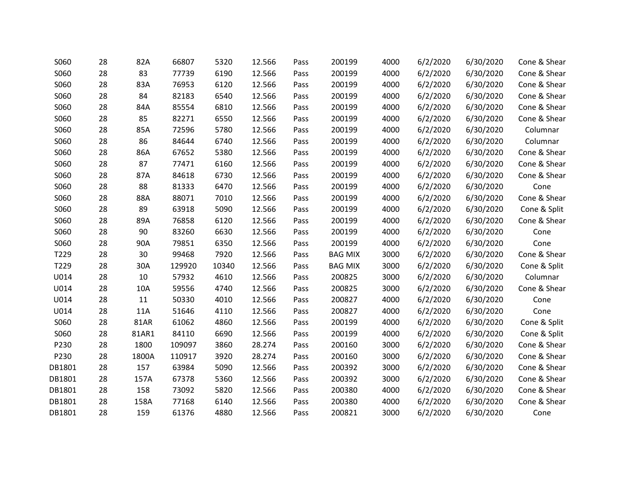| S060   | 28 | 82A         | 66807  | 5320  | 12.566 | Pass | 200199         | 4000 | 6/2/2020 | 6/30/2020 | Cone & Shear |
|--------|----|-------------|--------|-------|--------|------|----------------|------|----------|-----------|--------------|
| S060   | 28 | 83          | 77739  | 6190  | 12.566 | Pass | 200199         | 4000 | 6/2/2020 | 6/30/2020 | Cone & Shear |
| S060   | 28 | 83A         | 76953  | 6120  | 12.566 | Pass | 200199         | 4000 | 6/2/2020 | 6/30/2020 | Cone & Shear |
| S060   | 28 | 84          | 82183  | 6540  | 12.566 | Pass | 200199         | 4000 | 6/2/2020 | 6/30/2020 | Cone & Shear |
| S060   | 28 | 84A         | 85554  | 6810  | 12.566 | Pass | 200199         | 4000 | 6/2/2020 | 6/30/2020 | Cone & Shear |
| S060   | 28 | 85          | 82271  | 6550  | 12.566 | Pass | 200199         | 4000 | 6/2/2020 | 6/30/2020 | Cone & Shear |
| S060   | 28 | 85A         | 72596  | 5780  | 12.566 | Pass | 200199         | 4000 | 6/2/2020 | 6/30/2020 | Columnar     |
| S060   | 28 | 86          | 84644  | 6740  | 12.566 | Pass | 200199         | 4000 | 6/2/2020 | 6/30/2020 | Columnar     |
| S060   | 28 | 86A         | 67652  | 5380  | 12.566 | Pass | 200199         | 4000 | 6/2/2020 | 6/30/2020 | Cone & Shear |
| S060   | 28 | 87          | 77471  | 6160  | 12.566 | Pass | 200199         | 4000 | 6/2/2020 | 6/30/2020 | Cone & Shear |
| S060   | 28 | 87A         | 84618  | 6730  | 12.566 | Pass | 200199         | 4000 | 6/2/2020 | 6/30/2020 | Cone & Shear |
| S060   | 28 | 88          | 81333  | 6470  | 12.566 | Pass | 200199         | 4000 | 6/2/2020 | 6/30/2020 | Cone         |
| S060   | 28 | 88A         | 88071  | 7010  | 12.566 | Pass | 200199         | 4000 | 6/2/2020 | 6/30/2020 | Cone & Shear |
| S060   | 28 | 89          | 63918  | 5090  | 12.566 | Pass | 200199         | 4000 | 6/2/2020 | 6/30/2020 | Cone & Split |
| S060   | 28 | 89A         | 76858  | 6120  | 12.566 | Pass | 200199         | 4000 | 6/2/2020 | 6/30/2020 | Cone & Shear |
| S060   | 28 | 90          | 83260  | 6630  | 12.566 | Pass | 200199         | 4000 | 6/2/2020 | 6/30/2020 | Cone         |
| S060   | 28 | 90A         | 79851  | 6350  | 12.566 | Pass | 200199         | 4000 | 6/2/2020 | 6/30/2020 | Cone         |
| T229   | 28 | 30          | 99468  | 7920  | 12.566 | Pass | <b>BAG MIX</b> | 3000 | 6/2/2020 | 6/30/2020 | Cone & Shear |
| T229   | 28 | 30A         | 129920 | 10340 | 12.566 | Pass | <b>BAG MIX</b> | 3000 | 6/2/2020 | 6/30/2020 | Cone & Split |
| U014   | 28 | 10          | 57932  | 4610  | 12.566 | Pass | 200825         | 3000 | 6/2/2020 | 6/30/2020 | Columnar     |
| U014   | 28 | 10A         | 59556  | 4740  | 12.566 | Pass | 200825         | 3000 | 6/2/2020 | 6/30/2020 | Cone & Shear |
| U014   | 28 | 11          | 50330  | 4010  | 12.566 | Pass | 200827         | 4000 | 6/2/2020 | 6/30/2020 | Cone         |
| U014   | 28 | 11A         | 51646  | 4110  | 12.566 | Pass | 200827         | 4000 | 6/2/2020 | 6/30/2020 | Cone         |
| S060   | 28 | <b>81AR</b> | 61062  | 4860  | 12.566 | Pass | 200199         | 4000 | 6/2/2020 | 6/30/2020 | Cone & Split |
| S060   | 28 | 81AR1       | 84110  | 6690  | 12.566 | Pass | 200199         | 4000 | 6/2/2020 | 6/30/2020 | Cone & Split |
| P230   | 28 | 1800        | 109097 | 3860  | 28.274 | Pass | 200160         | 3000 | 6/2/2020 | 6/30/2020 | Cone & Shear |
| P230   | 28 | 1800A       | 110917 | 3920  | 28.274 | Pass | 200160         | 3000 | 6/2/2020 | 6/30/2020 | Cone & Shear |
| DB1801 | 28 | 157         | 63984  | 5090  | 12.566 | Pass | 200392         | 3000 | 6/2/2020 | 6/30/2020 | Cone & Shear |
| DB1801 | 28 | 157A        | 67378  | 5360  | 12.566 | Pass | 200392         | 3000 | 6/2/2020 | 6/30/2020 | Cone & Shear |
| DB1801 | 28 | 158         | 73092  | 5820  | 12.566 | Pass | 200380         | 4000 | 6/2/2020 | 6/30/2020 | Cone & Shear |
| DB1801 | 28 | 158A        | 77168  | 6140  | 12.566 | Pass | 200380         | 4000 | 6/2/2020 | 6/30/2020 | Cone & Shear |
| DB1801 | 28 | 159         | 61376  | 4880  | 12.566 | Pass | 200821         | 3000 | 6/2/2020 | 6/30/2020 | Cone         |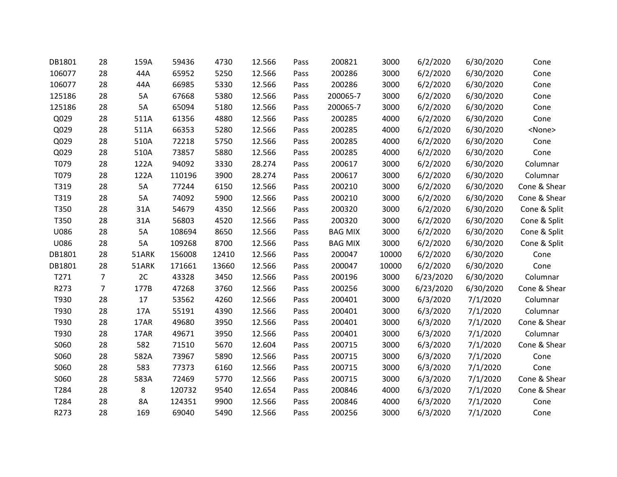| DB1801 | 28             | 159A  | 59436  | 4730  | 12.566 | Pass | 200821         | 3000  | 6/2/2020  | 6/30/2020 | Cone          |
|--------|----------------|-------|--------|-------|--------|------|----------------|-------|-----------|-----------|---------------|
| 106077 | 28             | 44A   | 65952  | 5250  | 12.566 | Pass | 200286         | 3000  | 6/2/2020  | 6/30/2020 | Cone          |
| 106077 | 28             | 44A   | 66985  | 5330  | 12.566 | Pass | 200286         | 3000  | 6/2/2020  | 6/30/2020 | Cone          |
| 125186 | 28             | 5A    | 67668  | 5380  | 12.566 | Pass | 200065-7       | 3000  | 6/2/2020  | 6/30/2020 | Cone          |
| 125186 | 28             | 5A    | 65094  | 5180  | 12.566 | Pass | 200065-7       | 3000  | 6/2/2020  | 6/30/2020 | Cone          |
| Q029   | 28             | 511A  | 61356  | 4880  | 12.566 | Pass | 200285         | 4000  | 6/2/2020  | 6/30/2020 | Cone          |
| Q029   | 28             | 511A  | 66353  | 5280  | 12.566 | Pass | 200285         | 4000  | 6/2/2020  | 6/30/2020 | <none></none> |
| Q029   | 28             | 510A  | 72218  | 5750  | 12.566 | Pass | 200285         | 4000  | 6/2/2020  | 6/30/2020 | Cone          |
| Q029   | 28             | 510A  | 73857  | 5880  | 12.566 | Pass | 200285         | 4000  | 6/2/2020  | 6/30/2020 | Cone          |
| T079   | 28             | 122A  | 94092  | 3330  | 28.274 | Pass | 200617         | 3000  | 6/2/2020  | 6/30/2020 | Columnar      |
| T079   | 28             | 122A  | 110196 | 3900  | 28.274 | Pass | 200617         | 3000  | 6/2/2020  | 6/30/2020 | Columnar      |
| T319   | 28             | 5A    | 77244  | 6150  | 12.566 | Pass | 200210         | 3000  | 6/2/2020  | 6/30/2020 | Cone & Shear  |
| T319   | 28             | 5A    | 74092  | 5900  | 12.566 | Pass | 200210         | 3000  | 6/2/2020  | 6/30/2020 | Cone & Shear  |
| T350   | 28             | 31A   | 54679  | 4350  | 12.566 | Pass | 200320         | 3000  | 6/2/2020  | 6/30/2020 | Cone & Split  |
| T350   | 28             | 31A   | 56803  | 4520  | 12.566 | Pass | 200320         | 3000  | 6/2/2020  | 6/30/2020 | Cone & Split  |
| U086   | 28             | 5A    | 108694 | 8650  | 12.566 | Pass | <b>BAG MIX</b> | 3000  | 6/2/2020  | 6/30/2020 | Cone & Split  |
| U086   | 28             | 5A    | 109268 | 8700  | 12.566 | Pass | <b>BAG MIX</b> | 3000  | 6/2/2020  | 6/30/2020 | Cone & Split  |
| DB1801 | 28             | 51ARK | 156008 | 12410 | 12.566 | Pass | 200047         | 10000 | 6/2/2020  | 6/30/2020 | Cone          |
| DB1801 | 28             | 51ARK | 171661 | 13660 | 12.566 | Pass | 200047         | 10000 | 6/2/2020  | 6/30/2020 | Cone          |
| T271   | $\overline{7}$ | 2C    | 43328  | 3450  | 12.566 | Pass | 200196         | 3000  | 6/23/2020 | 6/30/2020 | Columnar      |
| R273   | $\overline{7}$ | 177B  | 47268  | 3760  | 12.566 | Pass | 200256         | 3000  | 6/23/2020 | 6/30/2020 | Cone & Shear  |
| T930   | 28             | 17    | 53562  | 4260  | 12.566 | Pass | 200401         | 3000  | 6/3/2020  | 7/1/2020  | Columnar      |
| T930   | 28             | 17A   | 55191  | 4390  | 12.566 | Pass | 200401         | 3000  | 6/3/2020  | 7/1/2020  | Columnar      |
| T930   | 28             | 17AR  | 49680  | 3950  | 12.566 | Pass | 200401         | 3000  | 6/3/2020  | 7/1/2020  | Cone & Shear  |
| T930   | 28             | 17AR  | 49671  | 3950  | 12.566 | Pass | 200401         | 3000  | 6/3/2020  | 7/1/2020  | Columnar      |
| S060   | 28             | 582   | 71510  | 5670  | 12.604 | Pass | 200715         | 3000  | 6/3/2020  | 7/1/2020  | Cone & Shear  |
| S060   | 28             | 582A  | 73967  | 5890  | 12.566 | Pass | 200715         | 3000  | 6/3/2020  | 7/1/2020  | Cone          |
| S060   | 28             | 583   | 77373  | 6160  | 12.566 | Pass | 200715         | 3000  | 6/3/2020  | 7/1/2020  | Cone          |
| S060   | 28             | 583A  | 72469  | 5770  | 12.566 | Pass | 200715         | 3000  | 6/3/2020  | 7/1/2020  | Cone & Shear  |
| T284   | 28             | 8     | 120732 | 9540  | 12.654 | Pass | 200846         | 4000  | 6/3/2020  | 7/1/2020  | Cone & Shear  |
| T284   | 28             | 8A    | 124351 | 9900  | 12.566 | Pass | 200846         | 4000  | 6/3/2020  | 7/1/2020  | Cone          |
| R273   | 28             | 169   | 69040  | 5490  | 12.566 | Pass | 200256         | 3000  | 6/3/2020  | 7/1/2020  | Cone          |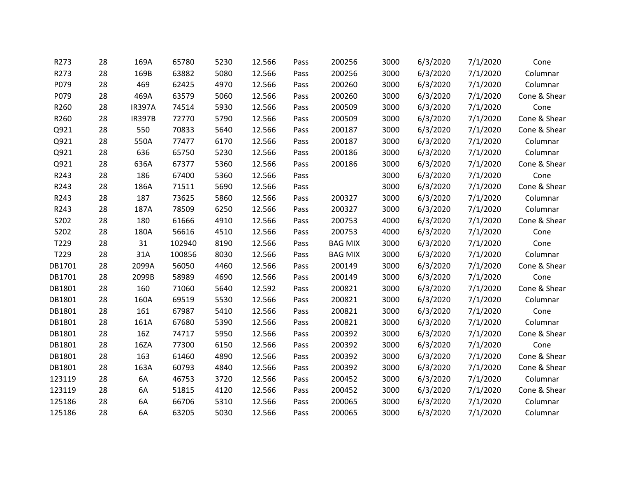| R273   | 28 | 169A          | 65780  | 5230 | 12.566 | Pass | 200256         | 3000 | 6/3/2020 | 7/1/2020 | Cone         |
|--------|----|---------------|--------|------|--------|------|----------------|------|----------|----------|--------------|
| R273   | 28 | 169B          | 63882  | 5080 | 12.566 | Pass | 200256         | 3000 | 6/3/2020 | 7/1/2020 | Columnar     |
| P079   | 28 | 469           | 62425  | 4970 | 12.566 | Pass | 200260         | 3000 | 6/3/2020 | 7/1/2020 | Columnar     |
| P079   | 28 | 469A          | 63579  | 5060 | 12.566 | Pass | 200260         | 3000 | 6/3/2020 | 7/1/2020 | Cone & Shear |
| R260   | 28 | <b>IR397A</b> | 74514  | 5930 | 12.566 | Pass | 200509         | 3000 | 6/3/2020 | 7/1/2020 | Cone         |
| R260   | 28 | <b>IR397B</b> | 72770  | 5790 | 12.566 | Pass | 200509         | 3000 | 6/3/2020 | 7/1/2020 | Cone & Shear |
| Q921   | 28 | 550           | 70833  | 5640 | 12.566 | Pass | 200187         | 3000 | 6/3/2020 | 7/1/2020 | Cone & Shear |
| Q921   | 28 | 550A          | 77477  | 6170 | 12.566 | Pass | 200187         | 3000 | 6/3/2020 | 7/1/2020 | Columnar     |
| Q921   | 28 | 636           | 65750  | 5230 | 12.566 | Pass | 200186         | 3000 | 6/3/2020 | 7/1/2020 | Columnar     |
| Q921   | 28 | 636A          | 67377  | 5360 | 12.566 | Pass | 200186         | 3000 | 6/3/2020 | 7/1/2020 | Cone & Shear |
| R243   | 28 | 186           | 67400  | 5360 | 12.566 | Pass |                | 3000 | 6/3/2020 | 7/1/2020 | Cone         |
| R243   | 28 | 186A          | 71511  | 5690 | 12.566 | Pass |                | 3000 | 6/3/2020 | 7/1/2020 | Cone & Shear |
| R243   | 28 | 187           | 73625  | 5860 | 12.566 | Pass | 200327         | 3000 | 6/3/2020 | 7/1/2020 | Columnar     |
| R243   | 28 | 187A          | 78509  | 6250 | 12.566 | Pass | 200327         | 3000 | 6/3/2020 | 7/1/2020 | Columnar     |
| S202   | 28 | 180           | 61666  | 4910 | 12.566 | Pass | 200753         | 4000 | 6/3/2020 | 7/1/2020 | Cone & Shear |
| S202   | 28 | 180A          | 56616  | 4510 | 12.566 | Pass | 200753         | 4000 | 6/3/2020 | 7/1/2020 | Cone         |
| T229   | 28 | 31            | 102940 | 8190 | 12.566 | Pass | <b>BAG MIX</b> | 3000 | 6/3/2020 | 7/1/2020 | Cone         |
| T229   | 28 | 31A           | 100856 | 8030 | 12.566 | Pass | <b>BAG MIX</b> | 3000 | 6/3/2020 | 7/1/2020 | Columnar     |
| DB1701 | 28 | 2099A         | 56050  | 4460 | 12.566 | Pass | 200149         | 3000 | 6/3/2020 | 7/1/2020 | Cone & Shear |
| DB1701 | 28 | 2099B         | 58989  | 4690 | 12.566 | Pass | 200149         | 3000 | 6/3/2020 | 7/1/2020 | Cone         |
| DB1801 | 28 | 160           | 71060  | 5640 | 12.592 | Pass | 200821         | 3000 | 6/3/2020 | 7/1/2020 | Cone & Shear |
| DB1801 | 28 | 160A          | 69519  | 5530 | 12.566 | Pass | 200821         | 3000 | 6/3/2020 | 7/1/2020 | Columnar     |
| DB1801 | 28 | 161           | 67987  | 5410 | 12.566 | Pass | 200821         | 3000 | 6/3/2020 | 7/1/2020 | Cone         |
| DB1801 | 28 | 161A          | 67680  | 5390 | 12.566 | Pass | 200821         | 3000 | 6/3/2020 | 7/1/2020 | Columnar     |
| DB1801 | 28 | 16Z           | 74717  | 5950 | 12.566 | Pass | 200392         | 3000 | 6/3/2020 | 7/1/2020 | Cone & Shear |
| DB1801 | 28 | 16ZA          | 77300  | 6150 | 12.566 | Pass | 200392         | 3000 | 6/3/2020 | 7/1/2020 | Cone         |
| DB1801 | 28 | 163           | 61460  | 4890 | 12.566 | Pass | 200392         | 3000 | 6/3/2020 | 7/1/2020 | Cone & Shear |
| DB1801 | 28 | 163A          | 60793  | 4840 | 12.566 | Pass | 200392         | 3000 | 6/3/2020 | 7/1/2020 | Cone & Shear |
| 123119 | 28 | 6A            | 46753  | 3720 | 12.566 | Pass | 200452         | 3000 | 6/3/2020 | 7/1/2020 | Columnar     |
| 123119 | 28 | 6A            | 51815  | 4120 | 12.566 | Pass | 200452         | 3000 | 6/3/2020 | 7/1/2020 | Cone & Shear |
| 125186 | 28 | 6A            | 66706  | 5310 | 12.566 | Pass | 200065         | 3000 | 6/3/2020 | 7/1/2020 | Columnar     |
| 125186 | 28 | 6A            | 63205  | 5030 | 12.566 | Pass | 200065         | 3000 | 6/3/2020 | 7/1/2020 | Columnar     |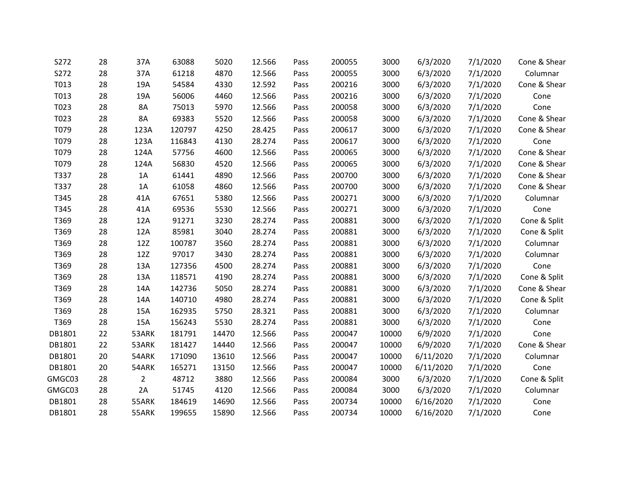| S272   | 28 | 37A            | 63088  | 5020  | 12.566 | Pass | 200055 | 3000  | 6/3/2020  | 7/1/2020 | Cone & Shear |
|--------|----|----------------|--------|-------|--------|------|--------|-------|-----------|----------|--------------|
| S272   | 28 | 37A            | 61218  | 4870  | 12.566 | Pass | 200055 | 3000  | 6/3/2020  | 7/1/2020 | Columnar     |
| T013   | 28 | 19A            | 54584  | 4330  | 12.592 | Pass | 200216 | 3000  | 6/3/2020  | 7/1/2020 | Cone & Shear |
| T013   | 28 | 19A            | 56006  | 4460  | 12.566 | Pass | 200216 | 3000  | 6/3/2020  | 7/1/2020 | Cone         |
| T023   | 28 | 8A             | 75013  | 5970  | 12.566 | Pass | 200058 | 3000  | 6/3/2020  | 7/1/2020 | Cone         |
| T023   | 28 | 8A             | 69383  | 5520  | 12.566 | Pass | 200058 | 3000  | 6/3/2020  | 7/1/2020 | Cone & Shear |
| T079   | 28 | 123A           | 120797 | 4250  | 28.425 | Pass | 200617 | 3000  | 6/3/2020  | 7/1/2020 | Cone & Shear |
| T079   | 28 | 123A           | 116843 | 4130  | 28.274 | Pass | 200617 | 3000  | 6/3/2020  | 7/1/2020 | Cone         |
| T079   | 28 | 124A           | 57756  | 4600  | 12.566 | Pass | 200065 | 3000  | 6/3/2020  | 7/1/2020 | Cone & Shear |
| T079   | 28 | 124A           | 56830  | 4520  | 12.566 | Pass | 200065 | 3000  | 6/3/2020  | 7/1/2020 | Cone & Shear |
| T337   | 28 | 1A             | 61441  | 4890  | 12.566 | Pass | 200700 | 3000  | 6/3/2020  | 7/1/2020 | Cone & Shear |
| T337   | 28 | 1A             | 61058  | 4860  | 12.566 | Pass | 200700 | 3000  | 6/3/2020  | 7/1/2020 | Cone & Shear |
| T345   | 28 | 41A            | 67651  | 5380  | 12.566 | Pass | 200271 | 3000  | 6/3/2020  | 7/1/2020 | Columnar     |
| T345   | 28 | 41A            | 69536  | 5530  | 12.566 | Pass | 200271 | 3000  | 6/3/2020  | 7/1/2020 | Cone         |
| T369   | 28 | 12A            | 91271  | 3230  | 28.274 | Pass | 200881 | 3000  | 6/3/2020  | 7/1/2020 | Cone & Split |
| T369   | 28 | 12A            | 85981  | 3040  | 28.274 | Pass | 200881 | 3000  | 6/3/2020  | 7/1/2020 | Cone & Split |
| T369   | 28 | 12Z            | 100787 | 3560  | 28.274 | Pass | 200881 | 3000  | 6/3/2020  | 7/1/2020 | Columnar     |
| T369   | 28 | 12Z            | 97017  | 3430  | 28.274 | Pass | 200881 | 3000  | 6/3/2020  | 7/1/2020 | Columnar     |
| T369   | 28 | 13A            | 127356 | 4500  | 28.274 | Pass | 200881 | 3000  | 6/3/2020  | 7/1/2020 | Cone         |
| T369   | 28 | 13A            | 118571 | 4190  | 28.274 | Pass | 200881 | 3000  | 6/3/2020  | 7/1/2020 | Cone & Split |
| T369   | 28 | 14A            | 142736 | 5050  | 28.274 | Pass | 200881 | 3000  | 6/3/2020  | 7/1/2020 | Cone & Shear |
| T369   | 28 | 14A            | 140710 | 4980  | 28.274 | Pass | 200881 | 3000  | 6/3/2020  | 7/1/2020 | Cone & Split |
| T369   | 28 | 15A            | 162935 | 5750  | 28.321 | Pass | 200881 | 3000  | 6/3/2020  | 7/1/2020 | Columnar     |
| T369   | 28 | 15A            | 156243 | 5530  | 28.274 | Pass | 200881 | 3000  | 6/3/2020  | 7/1/2020 | Cone         |
| DB1801 | 22 | 53ARK          | 181791 | 14470 | 12.566 | Pass | 200047 | 10000 | 6/9/2020  | 7/1/2020 | Cone         |
| DB1801 | 22 | 53ARK          | 181427 | 14440 | 12.566 | Pass | 200047 | 10000 | 6/9/2020  | 7/1/2020 | Cone & Shear |
| DB1801 | 20 | 54ARK          | 171090 | 13610 | 12.566 | Pass | 200047 | 10000 | 6/11/2020 | 7/1/2020 | Columnar     |
| DB1801 | 20 | 54ARK          | 165271 | 13150 | 12.566 | Pass | 200047 | 10000 | 6/11/2020 | 7/1/2020 | Cone         |
| GMGC03 | 28 | $\overline{2}$ | 48712  | 3880  | 12.566 | Pass | 200084 | 3000  | 6/3/2020  | 7/1/2020 | Cone & Split |
| GMGC03 | 28 | 2A             | 51745  | 4120  | 12.566 | Pass | 200084 | 3000  | 6/3/2020  | 7/1/2020 | Columnar     |
| DB1801 | 28 | 55ARK          | 184619 | 14690 | 12.566 | Pass | 200734 | 10000 | 6/16/2020 | 7/1/2020 | Cone         |
| DB1801 | 28 | 55ARK          | 199655 | 15890 | 12.566 | Pass | 200734 | 10000 | 6/16/2020 | 7/1/2020 | Cone         |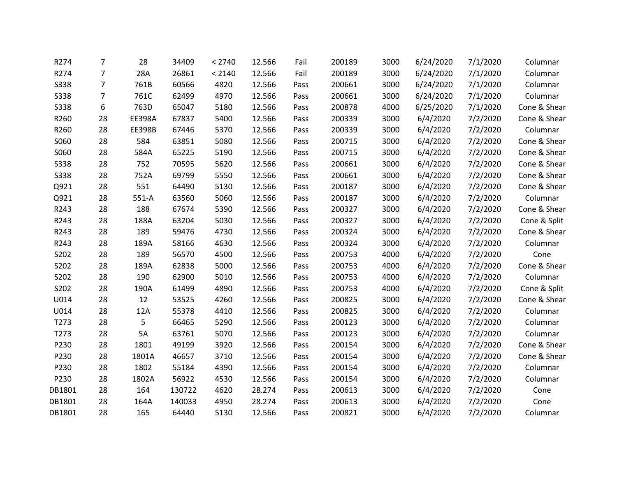| R274        | 7              | 28            | 34409  | < 2740 | 12.566 | Fail | 200189 | 3000 | 6/24/2020 | 7/1/2020 | Columnar     |
|-------------|----------------|---------------|--------|--------|--------|------|--------|------|-----------|----------|--------------|
| R274        | 7              | 28A           | 26861  | < 2140 | 12.566 | Fail | 200189 | 3000 | 6/24/2020 | 7/1/2020 | Columnar     |
| <b>S338</b> | 7              | 761B          | 60566  | 4820   | 12.566 | Pass | 200661 | 3000 | 6/24/2020 | 7/1/2020 | Columnar     |
| <b>S338</b> | $\overline{7}$ | 761C          | 62499  | 4970   | 12.566 | Pass | 200661 | 3000 | 6/24/2020 | 7/1/2020 | Columnar     |
| <b>S338</b> | 6              | 763D          | 65047  | 5180   | 12.566 | Pass | 200878 | 4000 | 6/25/2020 | 7/1/2020 | Cone & Shear |
| R260        | 28             | <b>EE398A</b> | 67837  | 5400   | 12.566 | Pass | 200339 | 3000 | 6/4/2020  | 7/2/2020 | Cone & Shear |
| R260        | 28             | <b>EE398B</b> | 67446  | 5370   | 12.566 | Pass | 200339 | 3000 | 6/4/2020  | 7/2/2020 | Columnar     |
| S060        | 28             | 584           | 63851  | 5080   | 12.566 | Pass | 200715 | 3000 | 6/4/2020  | 7/2/2020 | Cone & Shear |
| S060        | 28             | 584A          | 65225  | 5190   | 12.566 | Pass | 200715 | 3000 | 6/4/2020  | 7/2/2020 | Cone & Shear |
| <b>S338</b> | 28             | 752           | 70595  | 5620   | 12.566 | Pass | 200661 | 3000 | 6/4/2020  | 7/2/2020 | Cone & Shear |
| <b>S338</b> | 28             | 752A          | 69799  | 5550   | 12.566 | Pass | 200661 | 3000 | 6/4/2020  | 7/2/2020 | Cone & Shear |
| Q921        | 28             | 551           | 64490  | 5130   | 12.566 | Pass | 200187 | 3000 | 6/4/2020  | 7/2/2020 | Cone & Shear |
| Q921        | 28             | $551-A$       | 63560  | 5060   | 12.566 | Pass | 200187 | 3000 | 6/4/2020  | 7/2/2020 | Columnar     |
| R243        | 28             | 188           | 67674  | 5390   | 12.566 | Pass | 200327 | 3000 | 6/4/2020  | 7/2/2020 | Cone & Shear |
| R243        | 28             | 188A          | 63204  | 5030   | 12.566 | Pass | 200327 | 3000 | 6/4/2020  | 7/2/2020 | Cone & Split |
| R243        | 28             | 189           | 59476  | 4730   | 12.566 | Pass | 200324 | 3000 | 6/4/2020  | 7/2/2020 | Cone & Shear |
| R243        | 28             | 189A          | 58166  | 4630   | 12.566 | Pass | 200324 | 3000 | 6/4/2020  | 7/2/2020 | Columnar     |
| S202        | 28             | 189           | 56570  | 4500   | 12.566 | Pass | 200753 | 4000 | 6/4/2020  | 7/2/2020 | Cone         |
| S202        | 28             | 189A          | 62838  | 5000   | 12.566 | Pass | 200753 | 4000 | 6/4/2020  | 7/2/2020 | Cone & Shear |
| S202        | 28             | 190           | 62900  | 5010   | 12.566 | Pass | 200753 | 4000 | 6/4/2020  | 7/2/2020 | Columnar     |
| S202        | 28             | 190A          | 61499  | 4890   | 12.566 | Pass | 200753 | 4000 | 6/4/2020  | 7/2/2020 | Cone & Split |
| U014        | 28             | 12            | 53525  | 4260   | 12.566 | Pass | 200825 | 3000 | 6/4/2020  | 7/2/2020 | Cone & Shear |
| U014        | 28             | 12A           | 55378  | 4410   | 12.566 | Pass | 200825 | 3000 | 6/4/2020  | 7/2/2020 | Columnar     |
| T273        | 28             | 5             | 66465  | 5290   | 12.566 | Pass | 200123 | 3000 | 6/4/2020  | 7/2/2020 | Columnar     |
| T273        | 28             | 5A            | 63761  | 5070   | 12.566 | Pass | 200123 | 3000 | 6/4/2020  | 7/2/2020 | Columnar     |
| P230        | 28             | 1801          | 49199  | 3920   | 12.566 | Pass | 200154 | 3000 | 6/4/2020  | 7/2/2020 | Cone & Shear |
| P230        | 28             | 1801A         | 46657  | 3710   | 12.566 | Pass | 200154 | 3000 | 6/4/2020  | 7/2/2020 | Cone & Shear |
| P230        | 28             | 1802          | 55184  | 4390   | 12.566 | Pass | 200154 | 3000 | 6/4/2020  | 7/2/2020 | Columnar     |
| P230        | 28             | 1802A         | 56922  | 4530   | 12.566 | Pass | 200154 | 3000 | 6/4/2020  | 7/2/2020 | Columnar     |
| DB1801      | 28             | 164           | 130722 | 4620   | 28.274 | Pass | 200613 | 3000 | 6/4/2020  | 7/2/2020 | Cone         |
| DB1801      | 28             | 164A          | 140033 | 4950   | 28.274 | Pass | 200613 | 3000 | 6/4/2020  | 7/2/2020 | Cone         |
| DB1801      | 28             | 165           | 64440  | 5130   | 12.566 | Pass | 200821 | 3000 | 6/4/2020  | 7/2/2020 | Columnar     |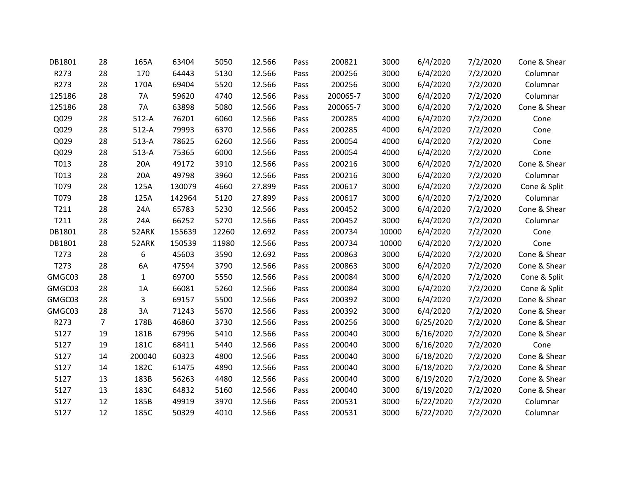| DB1801 | 28             | 165A         | 63404  | 5050  | 12.566 | Pass | 200821   | 3000  | 6/4/2020  | 7/2/2020 | Cone & Shear |
|--------|----------------|--------------|--------|-------|--------|------|----------|-------|-----------|----------|--------------|
| R273   | 28             | 170          | 64443  | 5130  | 12.566 | Pass | 200256   | 3000  | 6/4/2020  | 7/2/2020 | Columnar     |
| R273   | 28             | 170A         | 69404  | 5520  | 12.566 | Pass | 200256   | 3000  | 6/4/2020  | 7/2/2020 | Columnar     |
| 125186 | 28             | 7A           | 59620  | 4740  | 12.566 | Pass | 200065-7 | 3000  | 6/4/2020  | 7/2/2020 | Columnar     |
| 125186 | 28             | <b>7A</b>    | 63898  | 5080  | 12.566 | Pass | 200065-7 | 3000  | 6/4/2020  | 7/2/2020 | Cone & Shear |
| Q029   | 28             | $512-A$      | 76201  | 6060  | 12.566 | Pass | 200285   | 4000  | 6/4/2020  | 7/2/2020 | Cone         |
| Q029   | 28             | $512-A$      | 79993  | 6370  | 12.566 | Pass | 200285   | 4000  | 6/4/2020  | 7/2/2020 | Cone         |
| Q029   | 28             | $513-A$      | 78625  | 6260  | 12.566 | Pass | 200054   | 4000  | 6/4/2020  | 7/2/2020 | Cone         |
| Q029   | 28             | $513-A$      | 75365  | 6000  | 12.566 | Pass | 200054   | 4000  | 6/4/2020  | 7/2/2020 | Cone         |
| T013   | 28             | 20A          | 49172  | 3910  | 12.566 | Pass | 200216   | 3000  | 6/4/2020  | 7/2/2020 | Cone & Shear |
| T013   | 28             | 20A          | 49798  | 3960  | 12.566 | Pass | 200216   | 3000  | 6/4/2020  | 7/2/2020 | Columnar     |
| T079   | 28             | 125A         | 130079 | 4660  | 27.899 | Pass | 200617   | 3000  | 6/4/2020  | 7/2/2020 | Cone & Split |
| T079   | 28             | 125A         | 142964 | 5120  | 27.899 | Pass | 200617   | 3000  | 6/4/2020  | 7/2/2020 | Columnar     |
| T211   | 28             | 24A          | 65783  | 5230  | 12.566 | Pass | 200452   | 3000  | 6/4/2020  | 7/2/2020 | Cone & Shear |
| T211   | 28             | 24A          | 66252  | 5270  | 12.566 | Pass | 200452   | 3000  | 6/4/2020  | 7/2/2020 | Columnar     |
| DB1801 | 28             | 52ARK        | 155639 | 12260 | 12.692 | Pass | 200734   | 10000 | 6/4/2020  | 7/2/2020 | Cone         |
| DB1801 | 28             | 52ARK        | 150539 | 11980 | 12.566 | Pass | 200734   | 10000 | 6/4/2020  | 7/2/2020 | Cone         |
| T273   | 28             | 6            | 45603  | 3590  | 12.692 | Pass | 200863   | 3000  | 6/4/2020  | 7/2/2020 | Cone & Shear |
| T273   | 28             | 6A           | 47594  | 3790  | 12.566 | Pass | 200863   | 3000  | 6/4/2020  | 7/2/2020 | Cone & Shear |
| GMGC03 | 28             | $\mathbf{1}$ | 69700  | 5550  | 12.566 | Pass | 200084   | 3000  | 6/4/2020  | 7/2/2020 | Cone & Split |
| GMGC03 | 28             | 1A           | 66081  | 5260  | 12.566 | Pass | 200084   | 3000  | 6/4/2020  | 7/2/2020 | Cone & Split |
| GMGC03 | 28             | 3            | 69157  | 5500  | 12.566 | Pass | 200392   | 3000  | 6/4/2020  | 7/2/2020 | Cone & Shear |
| GMGC03 | 28             | 3A           | 71243  | 5670  | 12.566 | Pass | 200392   | 3000  | 6/4/2020  | 7/2/2020 | Cone & Shear |
| R273   | $\overline{7}$ | 178B         | 46860  | 3730  | 12.566 | Pass | 200256   | 3000  | 6/25/2020 | 7/2/2020 | Cone & Shear |
| S127   | 19             | 181B         | 67996  | 5410  | 12.566 | Pass | 200040   | 3000  | 6/16/2020 | 7/2/2020 | Cone & Shear |
| S127   | 19             | 181C         | 68411  | 5440  | 12.566 | Pass | 200040   | 3000  | 6/16/2020 | 7/2/2020 | Cone         |
| S127   | 14             | 200040       | 60323  | 4800  | 12.566 | Pass | 200040   | 3000  | 6/18/2020 | 7/2/2020 | Cone & Shear |
| S127   | 14             | 182C         | 61475  | 4890  | 12.566 | Pass | 200040   | 3000  | 6/18/2020 | 7/2/2020 | Cone & Shear |
| S127   | 13             | 183B         | 56263  | 4480  | 12.566 | Pass | 200040   | 3000  | 6/19/2020 | 7/2/2020 | Cone & Shear |
| S127   | 13             | 183C         | 64832  | 5160  | 12.566 | Pass | 200040   | 3000  | 6/19/2020 | 7/2/2020 | Cone & Shear |
| S127   | 12             | 185B         | 49919  | 3970  | 12.566 | Pass | 200531   | 3000  | 6/22/2020 | 7/2/2020 | Columnar     |
| S127   | 12             | 185C         | 50329  | 4010  | 12.566 | Pass | 200531   | 3000  | 6/22/2020 | 7/2/2020 | Columnar     |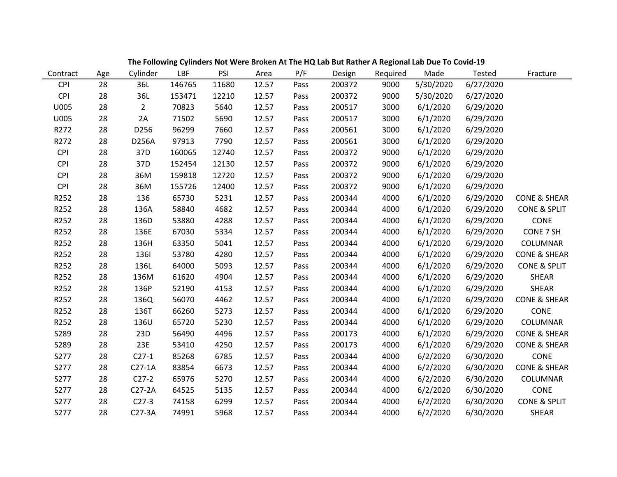| Contract   | Age | Cylinder       | LBF    | PSI   | Area  | P/F  | Design | Required | Made      | <b>Tested</b> | Fracture                |
|------------|-----|----------------|--------|-------|-------|------|--------|----------|-----------|---------------|-------------------------|
| <b>CPI</b> | 28  | 36L            | 146765 | 11680 | 12.57 | Pass | 200372 | 9000     | 5/30/2020 | 6/27/2020     |                         |
| <b>CPI</b> | 28  | 36L            | 153471 | 12210 | 12.57 | Pass | 200372 | 9000     | 5/30/2020 | 6/27/2020     |                         |
| U005       | 28  | $\overline{2}$ | 70823  | 5640  | 12.57 | Pass | 200517 | 3000     | 6/1/2020  | 6/29/2020     |                         |
| U005       | 28  | 2A             | 71502  | 5690  | 12.57 | Pass | 200517 | 3000     | 6/1/2020  | 6/29/2020     |                         |
| R272       | 28  | D256           | 96299  | 7660  | 12.57 | Pass | 200561 | 3000     | 6/1/2020  | 6/29/2020     |                         |
| R272       | 28  | D256A          | 97913  | 7790  | 12.57 | Pass | 200561 | 3000     | 6/1/2020  | 6/29/2020     |                         |
| <b>CPI</b> | 28  | 37D            | 160065 | 12740 | 12.57 | Pass | 200372 | 9000     | 6/1/2020  | 6/29/2020     |                         |
| <b>CPI</b> | 28  | 37D            | 152454 | 12130 | 12.57 | Pass | 200372 | 9000     | 6/1/2020  | 6/29/2020     |                         |
| <b>CPI</b> | 28  | 36M            | 159818 | 12720 | 12.57 | Pass | 200372 | 9000     | 6/1/2020  | 6/29/2020     |                         |
| <b>CPI</b> | 28  | 36M            | 155726 | 12400 | 12.57 | Pass | 200372 | 9000     | 6/1/2020  | 6/29/2020     |                         |
| R252       | 28  | 136            | 65730  | 5231  | 12.57 | Pass | 200344 | 4000     | 6/1/2020  | 6/29/2020     | <b>CONE &amp; SHEAR</b> |
| R252       | 28  | 136A           | 58840  | 4682  | 12.57 | Pass | 200344 | 4000     | 6/1/2020  | 6/29/2020     | <b>CONE &amp; SPLIT</b> |
| R252       | 28  | 136D           | 53880  | 4288  | 12.57 | Pass | 200344 | 4000     | 6/1/2020  | 6/29/2020     | CONE                    |
| R252       | 28  | 136E           | 67030  | 5334  | 12.57 | Pass | 200344 | 4000     | 6/1/2020  | 6/29/2020     | CONE 7 SH               |
| R252       | 28  | 136H           | 63350  | 5041  | 12.57 | Pass | 200344 | 4000     | 6/1/2020  | 6/29/2020     | <b>COLUMNAR</b>         |
| R252       | 28  | 1361           | 53780  | 4280  | 12.57 | Pass | 200344 | 4000     | 6/1/2020  | 6/29/2020     | <b>CONE &amp; SHEAR</b> |
| R252       | 28  | 136L           | 64000  | 5093  | 12.57 | Pass | 200344 | 4000     | 6/1/2020  | 6/29/2020     | <b>CONE &amp; SPLIT</b> |
| R252       | 28  | 136M           | 61620  | 4904  | 12.57 | Pass | 200344 | 4000     | 6/1/2020  | 6/29/2020     | <b>SHEAR</b>            |
| R252       | 28  | 136P           | 52190  | 4153  | 12.57 | Pass | 200344 | 4000     | 6/1/2020  | 6/29/2020     | SHEAR                   |
| R252       | 28  | 136Q           | 56070  | 4462  | 12.57 | Pass | 200344 | 4000     | 6/1/2020  | 6/29/2020     | <b>CONE &amp; SHEAR</b> |
| R252       | 28  | 136T           | 66260  | 5273  | 12.57 | Pass | 200344 | 4000     | 6/1/2020  | 6/29/2020     | CONE                    |
| R252       | 28  | 136U           | 65720  | 5230  | 12.57 | Pass | 200344 | 4000     | 6/1/2020  | 6/29/2020     | COLUMNAR                |
| S289       | 28  | 23D            | 56490  | 4496  | 12.57 | Pass | 200173 | 4000     | 6/1/2020  | 6/29/2020     | <b>CONE &amp; SHEAR</b> |
| S289       | 28  | 23E            | 53410  | 4250  | 12.57 | Pass | 200173 | 4000     | 6/1/2020  | 6/29/2020     | <b>CONE &amp; SHEAR</b> |
| S277       | 28  | $C27-1$        | 85268  | 6785  | 12.57 | Pass | 200344 | 4000     | 6/2/2020  | 6/30/2020     | CONE                    |
| S277       | 28  | $C27-1A$       | 83854  | 6673  | 12.57 | Pass | 200344 | 4000     | 6/2/2020  | 6/30/2020     | <b>CONE &amp; SHEAR</b> |
| S277       | 28  | $C27-2$        | 65976  | 5270  | 12.57 | Pass | 200344 | 4000     | 6/2/2020  | 6/30/2020     | COLUMNAR                |
| S277       | 28  | $C27-2A$       | 64525  | 5135  | 12.57 | Pass | 200344 | 4000     | 6/2/2020  | 6/30/2020     | CONE                    |
| S277       | 28  | $C27-3$        | 74158  | 6299  | 12.57 | Pass | 200344 | 4000     | 6/2/2020  | 6/30/2020     | <b>CONE &amp; SPLIT</b> |
| S277       | 28  | $C27-3A$       | 74991  | 5968  | 12.57 | Pass | 200344 | 4000     | 6/2/2020  | 6/30/2020     | <b>SHEAR</b>            |

**The Following Cylinders Not Were Broken At The HQ Lab But Rather A Regional Lab Due To Covid-19**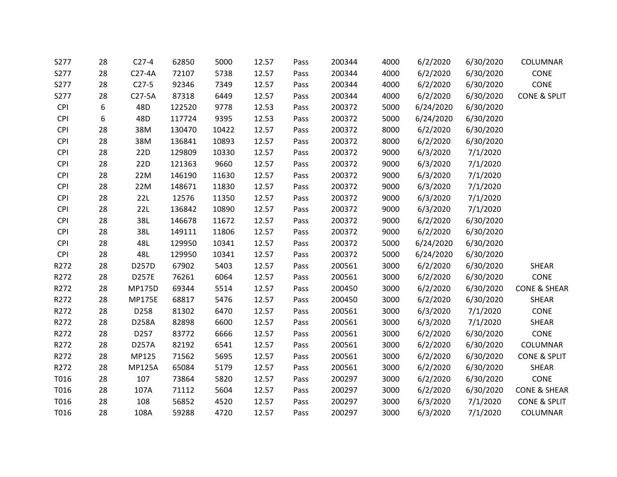| S277       | 28 | $C27-4$       | 62850  | 5000  | 12.57 | Pass | 200344 | 4000 | 6/2/2020  | 6/30/2020 | COLUMNAR                |
|------------|----|---------------|--------|-------|-------|------|--------|------|-----------|-----------|-------------------------|
| S277       | 28 | $C27-4A$      | 72107  | 5738  | 12.57 | Pass | 200344 | 4000 | 6/2/2020  | 6/30/2020 | CONE                    |
| S277       | 28 | $C27-5$       | 92346  | 7349  | 12.57 | Pass | 200344 | 4000 | 6/2/2020  | 6/30/2020 | CONE                    |
| S277       | 28 | $C27-5A$      | 87318  | 6449  | 12.57 | Pass | 200344 | 4000 | 6/2/2020  | 6/30/2020 | <b>CONE &amp; SPLIT</b> |
| <b>CPI</b> | 6  | 48D           | 122520 | 9778  | 12.53 | Pass | 200372 | 5000 | 6/24/2020 | 6/30/2020 |                         |
| <b>CPI</b> | 6  | 48D           | 117724 | 9395  | 12.53 | Pass | 200372 | 5000 | 6/24/2020 | 6/30/2020 |                         |
| <b>CPI</b> | 28 | 38M           | 130470 | 10422 | 12.57 | Pass | 200372 | 8000 | 6/2/2020  | 6/30/2020 |                         |
| <b>CPI</b> | 28 | 38M           | 136841 | 10893 | 12.57 | Pass | 200372 | 8000 | 6/2/2020  | 6/30/2020 |                         |
| <b>CPI</b> | 28 | 22D           | 129809 | 10330 | 12.57 | Pass | 200372 | 9000 | 6/3/2020  | 7/1/2020  |                         |
| <b>CPI</b> | 28 | 22D           | 121363 | 9660  | 12.57 | Pass | 200372 | 9000 | 6/3/2020  | 7/1/2020  |                         |
| <b>CPI</b> | 28 | 22M           | 146190 | 11630 | 12.57 | Pass | 200372 | 9000 | 6/3/2020  | 7/1/2020  |                         |
| <b>CPI</b> | 28 | 22M           | 148671 | 11830 | 12.57 | Pass | 200372 | 9000 | 6/3/2020  | 7/1/2020  |                         |
| <b>CPI</b> | 28 | 22L           | 12576  | 11350 | 12.57 | Pass | 200372 | 9000 | 6/3/2020  | 7/1/2020  |                         |
| <b>CPI</b> | 28 | 22L           | 136842 | 10890 | 12.57 | Pass | 200372 | 9000 | 6/3/2020  | 7/1/2020  |                         |
| <b>CPI</b> | 28 | 38L           | 146678 | 11672 | 12.57 | Pass | 200372 | 9000 | 6/2/2020  | 6/30/2020 |                         |
| <b>CPI</b> | 28 | 38L           | 149111 | 11806 | 12.57 | Pass | 200372 | 9000 | 6/2/2020  | 6/30/2020 |                         |
| <b>CPI</b> | 28 | 48L           | 129950 | 10341 | 12.57 | Pass | 200372 | 5000 | 6/24/2020 | 6/30/2020 |                         |
| <b>CPI</b> | 28 | 48L           | 129950 | 10341 | 12.57 | Pass | 200372 | 5000 | 6/24/2020 | 6/30/2020 |                         |
| R272       | 28 | D257D         | 67902  | 5403  | 12.57 | Pass | 200561 | 3000 | 6/2/2020  | 6/30/2020 | <b>SHEAR</b>            |
| R272       | 28 | D257E         | 76261  | 6064  | 12.57 | Pass | 200561 | 3000 | 6/2/2020  | 6/30/2020 | CONE                    |
| R272       | 28 | <b>MP175D</b> | 69344  | 5514  | 12.57 | Pass | 200450 | 3000 | 6/2/2020  | 6/30/2020 | <b>CONE &amp; SHEAR</b> |
| R272       | 28 | <b>MP175E</b> | 68817  | 5476  | 12.57 | Pass | 200450 | 3000 | 6/2/2020  | 6/30/2020 | <b>SHEAR</b>            |
| R272       | 28 | D258          | 81302  | 6470  | 12.57 | Pass | 200561 | 3000 | 6/3/2020  | 7/1/2020  | CONE                    |
| R272       | 28 | D258A         | 82898  | 6600  | 12.57 | Pass | 200561 | 3000 | 6/3/2020  | 7/1/2020  | <b>SHEAR</b>            |
| R272       | 28 | D257          | 83772  | 6666  | 12.57 | Pass | 200561 | 3000 | 6/2/2020  | 6/30/2020 | CONE                    |
| R272       | 28 | D257A         | 82192  | 6541  | 12.57 | Pass | 200561 | 3000 | 6/2/2020  | 6/30/2020 | COLUMNAR                |
| R272       | 28 | MP125         | 71562  | 5695  | 12.57 | Pass | 200561 | 3000 | 6/2/2020  | 6/30/2020 | CONE & SPLIT            |
| R272       | 28 | <b>MP125A</b> | 65084  | 5179  | 12.57 | Pass | 200561 | 3000 | 6/2/2020  | 6/30/2020 | <b>SHEAR</b>            |
| T016       | 28 | 107           | 73864  | 5820  | 12.57 | Pass | 200297 | 3000 | 6/2/2020  | 6/30/2020 | CONE                    |
| T016       | 28 | 107A          | 71112  | 5604  | 12.57 | Pass | 200297 | 3000 | 6/2/2020  | 6/30/2020 | <b>CONE &amp; SHEAR</b> |
| T016       | 28 | 108           | 56852  | 4520  | 12.57 | Pass | 200297 | 3000 | 6/3/2020  | 7/1/2020  | CONE & SPLIT            |
| T016       | 28 | 108A          | 59288  | 4720  | 12.57 | Pass | 200297 | 3000 | 6/3/2020  | 7/1/2020  | <b>COLUMNAR</b>         |